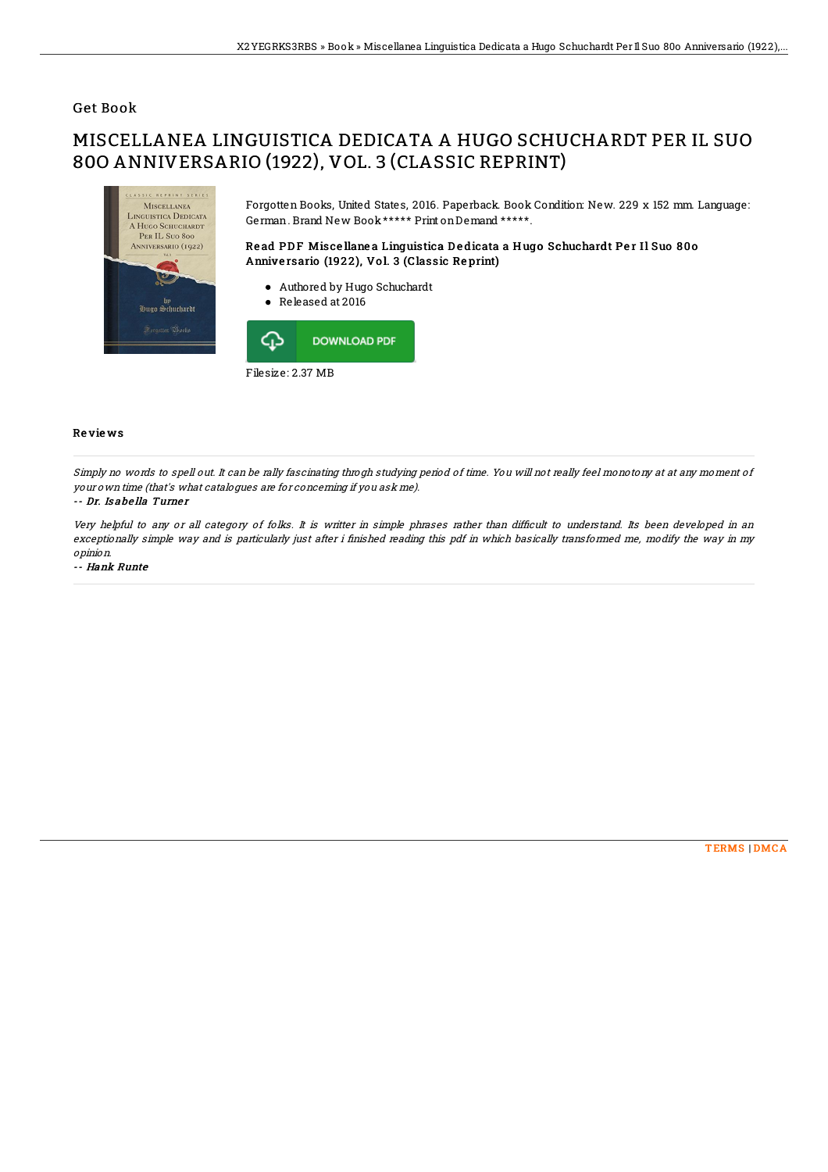## Get Book

# MISCELLANEA LINGUISTICA DEDICATA A HUGO SCHUCHARDT PER IL SUO 80O ANNIVERSARIO (1922), VOL. 3 (CLASSIC REPRINT)



Forgotten Books, United States, 2016. Paperback. Book Condition: New. 229 x 152 mm. Language: German. Brand New Book\*\*\*\*\* Print onDemand \*\*\*\*\*.

### Read PDF Miscellanea Linguistica Dedicata a Hugo Schuchardt Per Il Suo 800 Anniversario (1922), Vol. 3 (Classic Reprint)

- Authored by Hugo Schuchardt
- Released at 2016



#### Re vie ws

Simply no words to spell out. It can be rally fascinating throgh studying period of time. You will not really feel monotony at at any moment of your own time (that's what catalogues are for concerning if you ask me).

#### -- Dr. Is abe lla Turne <sup>r</sup>

Very helpful to any or all category of folks. It is writter in simple phrases rather than difficult to understand. Its been developed in an exceptionally simple way and is particularly just after i finished reading this pdf in which basically transformed me, modify the way in my opinion.

-- Hank Runte